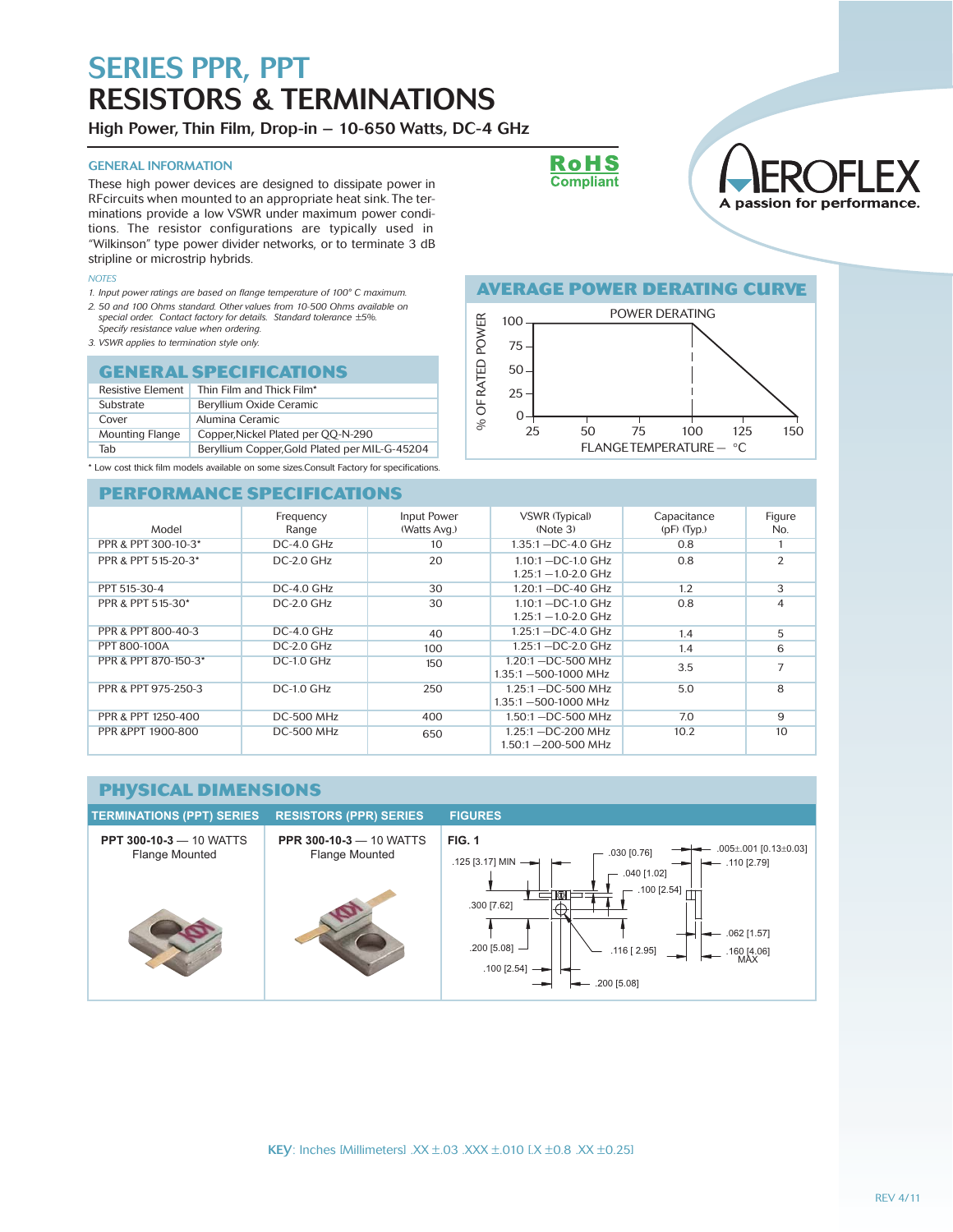High Power, Thin Film, Drop-in – 10-650 Watts, DC-4 GHz

### GENERAL INFORMATION

These high power devices are designed to dissipate power in RFcircuits when mounted to an appropriate heat sink. The terminations provide a low VSWR under maximum power conditions. The resistor configurations are typically used in "Wilkinson" type power divider networks, or to terminate 3 dB stripline or microstrip hybrids.

#### *NOTES*

- *1. Input power ratings are based on flange temperature of 100° C maximum. 2. 50 and 100 Ohms standard. Other values from 10-500 Ohms available on special order. Contact factory for details. Standard tolerance ±5%.*
- *Specify resistance value when ordering.*
- *3. VSWR applies to termination style only.*

### **GENERAL SPECIFICATIONS**

| <b>Resistive Element</b> | Thin Film and Thick Film*                     |  |
|--------------------------|-----------------------------------------------|--|
| Substrate                | Beryllium Oxide Ceramic                       |  |
| Cover                    | Alumina Ceramic                               |  |
| <b>Mounting Flange</b>   | Copper, Nickel Plated per QQ-N-290            |  |
| Tab                      | Beryllium Copper, Gold Plated per MIL-G-45204 |  |

\* Low cost thick film models available on some sizes.Consult Factory for specifications.

### **PERFORMANCE SPECIFICATIONS**





### **AVERAGE POWER DERATING CURVE**



| а доворимента в ради прод |                    |                             |                                                   |                                |                |
|---------------------------|--------------------|-----------------------------|---------------------------------------------------|--------------------------------|----------------|
| Model                     | Frequency<br>Range | Input Power<br>(Watts Avg.) | <b>VSWR (Typical)</b><br>(Note 3)                 | Capacitance<br>$(pF)$ $(Typ.)$ | Figure<br>No.  |
| PPR & PPT 300-10-3*       | $DC-4.0$ $GHz$     | 10                          | 1.35:1 -DC-4.0 GHz                                | 0.8                            |                |
| PPR & PPT 515-20-3*       | $DC-2.0$ GHz       | 20                          | $1.10:1 - DC-1.0$ GHz<br>$1.25:1 - 1.0 - 2.0$ GHz | 0.8                            | $\overline{2}$ |
| PPT 515-30-4              | $DC-4.0$ $GHz$     | 30                          | $1.20:1 - DC - 40$ GHz                            | 1.2                            | 3              |
| PPR & PPT 515-30*         | $DC-2.0$ GHz       | 30                          | $1.10:1 - DC-1.0$ GHz<br>$1.25:1 - 1.0 - 2.0$ GHz | 0.8                            | 4              |
| PPR & PPT 800-40-3        | DC-4.0 GHz         | 40                          | $1.25:1 - DC - 4.0$ GHz                           | 1.4                            | 5              |
| PPT 800-100A              | $DC-2.0$ $GHz$     | 100                         | $1.25:1 - DC-2.0$ GHz                             | 1.4                            | 6              |
| PPR & PPT 870-150-3*      | $DC-1.0$ $GHz$     | 150                         | $1.20:1 - DC-500$ MHz<br>1.35:1-500-1000 MHz      | 3.5                            | 7              |
| PPR & PPT 975-250-3       | $DC-1.0$ GHz       | 250                         | $1.25:1 - DC-500$ MHz<br>1.35:1-500-1000 MHz      | 5.0                            | 8              |
| PPR & PPT 1250-400        | <b>DC-500 MHz</b>  | 400                         | 1.50:1 -DC-500 MHz                                | 7.0                            | 9              |
| PPR &PPT 1900-800         | <b>DC-500 MHz</b>  | 650                         | 1.25:1 -DC-200 MHz<br>1.50:1-200-500 MHz          | 10.2                           | 10             |

#### **PHYSICAL DIMENSIONS TERMINATIONS (PPT) SERIES RESISTORS (PPR) SERIES FIGURESPPT 300-10-3** — 10 WATTS **PPR 300-10-3** — 10 WATTS **FIG. 1**  $.005 \pm .001$  [0.13 $\pm$ 0.03] Flange Mounted Flange Mounted .030 [0.76] .125 [3.17] MIN .110 [2.79] .040 [1.02] .100 [2.54] **KIN** .300 [7.62] .062 [1.57] .200 [5.08] .116 [ 2.95]  $\leftarrow$  .160 [4.06] .100 [2.54] .200 [5.08]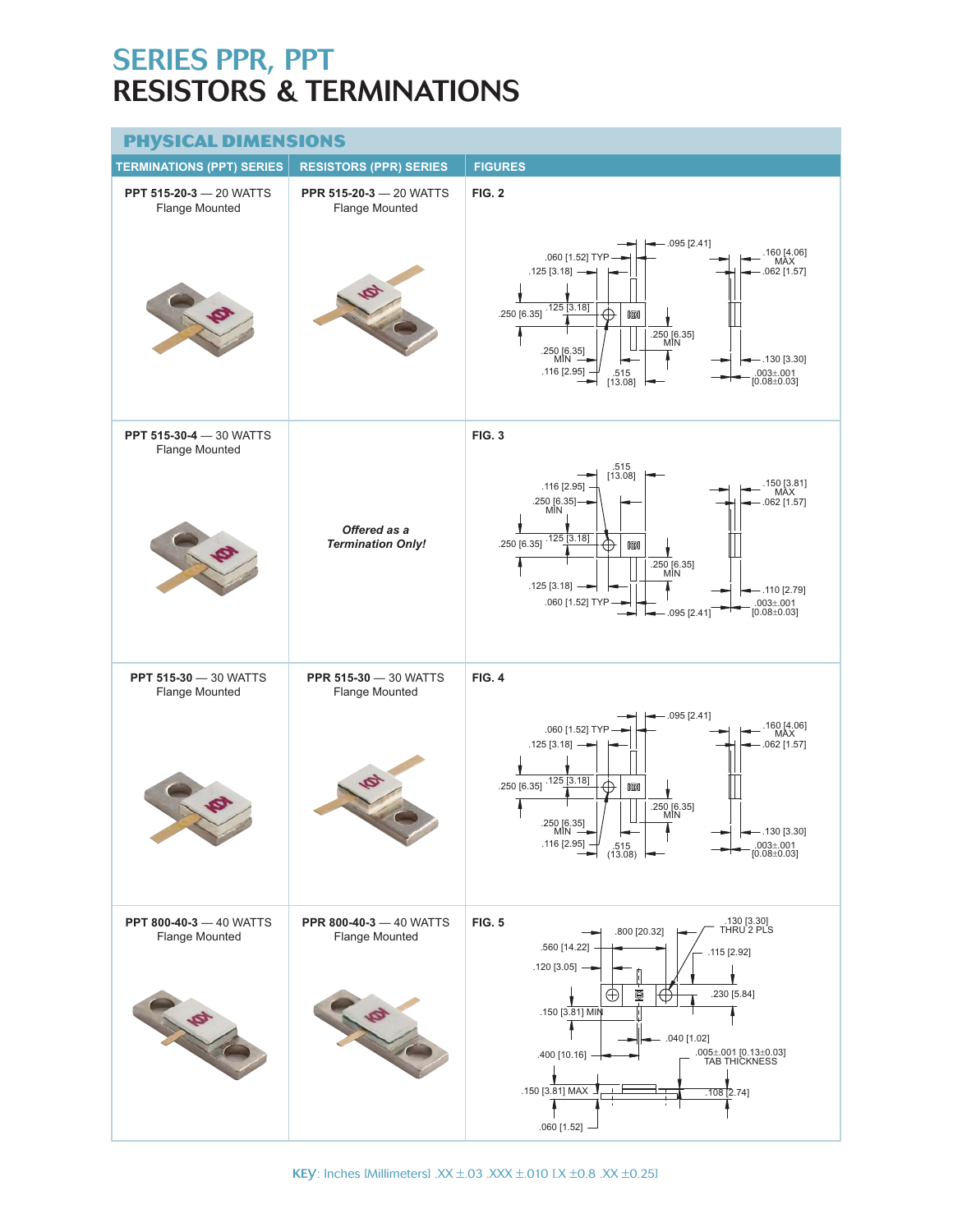| <b>PHYSICAL DIMENSIONS</b>                       |                                                  |                                                                                                                                                                                                                                                                                                  |  |  |
|--------------------------------------------------|--------------------------------------------------|--------------------------------------------------------------------------------------------------------------------------------------------------------------------------------------------------------------------------------------------------------------------------------------------------|--|--|
| <b>TERMINATIONS (PPT) SERIES</b>                 | <b>RESISTORS (PPR) SERIES</b>                    | <b>FIGURES</b>                                                                                                                                                                                                                                                                                   |  |  |
| <b>PPT 515-20-3 - 20 WATTS</b><br>Flange Mounted | <b>PPR 515-20-3 - 20 WATTS</b><br>Flange Mounted | <b>FIG. 2</b>                                                                                                                                                                                                                                                                                    |  |  |
|                                                  | Ø                                                | .095 [2.41]<br>.160 [4.06]<br>MAX<br>.060 [1.52] TYP<br>$.125 [3.18]$ -<br>.062 [1.57]<br>.125[3.18]<br>.250 [6.35]<br><b>kin</b><br>$.250 [6.35]$<br>MIN<br>.250 [6.35]<br>MIN<br>$-.130$ [3.30]<br>.116 [2.95]<br>.003±.001<br>[0.08±0.03]<br>$.515$<br>[13.08]                                |  |  |
| PPT 515-30-4 - 30 WATTS<br>Flange Mounted        |                                                  | <b>FIG. 3</b>                                                                                                                                                                                                                                                                                    |  |  |
|                                                  | Offered as a<br><b>Termination Only!</b>         | .515<br>[13.08]<br>150 [3.81]<br>MAX<br>.116 [2.95]<br>.250 [6.35]-<br>MIN<br>$.062$ [1.57]<br>$.250 [6.35]$ <sup>.125</sup> [3.18]<br>⊕<br><b>KD</b><br>.250 [6.35]<br>MIN<br>$.125 [3.18]$ —<br>$-.110$ [2.79]<br>.060 [1.52] TYP<br>$.003 \pm .001$ [0.08 $\pm$ 0.03]<br>$-.095$ [2.41]       |  |  |
| <b>PPT 515-30 - 30 WATTS</b><br>Flange Mounted   | <b>PPR 515-30 - 30 WATTS</b><br>Flange Mounted   | <b>FIG. 4</b>                                                                                                                                                                                                                                                                                    |  |  |
|                                                  | Ø                                                | $-.095$ [2.41]<br>160 [4.06]<br>MAX<br>.060 [1.52] TYP<br>$.125 [3.18] \rightarrow$<br>$.062$ [1.57]<br>$250 [6.35]$ <sup>125</sup> [3.18]<br><br><b>KD</b><br>.250 [6.35]<br>MIN<br>250 [6.35]<br>$-.130 [3.30]$<br>MÌN -<br>.116 [2.95]<br>$.003 \pm .001$ [0.08 $\pm$ 0.03]<br>515<br>(13.08) |  |  |
| <b>PPT 800-40-3 - 40 WATTS</b><br>Flange Mounted | <b>PPR 800-40-3 - 40 WATTS</b><br>Flange Mounted | <b>FIG. 5</b><br>.130 [3.30]<br>THRU 2 PLS<br>.800 [20.32]<br>.560 [14.22]<br>.115 [2.92]                                                                                                                                                                                                        |  |  |
| LA                                               |                                                  | $.120$ [3.05] $-$<br>Ó<br>.230 [5.84]<br>$\oplus$<br>Œ<br>.150 [3.81] MIN<br>$-$ .040 [1.02]<br>۰<br>.005±.001 [0.13±0.03]<br>TAB THICKNESS<br>.400 [10.16]<br>.150 [3.81] MAX<br>$.108$ [2.74]<br>$.060$ [1.52] -                                                                               |  |  |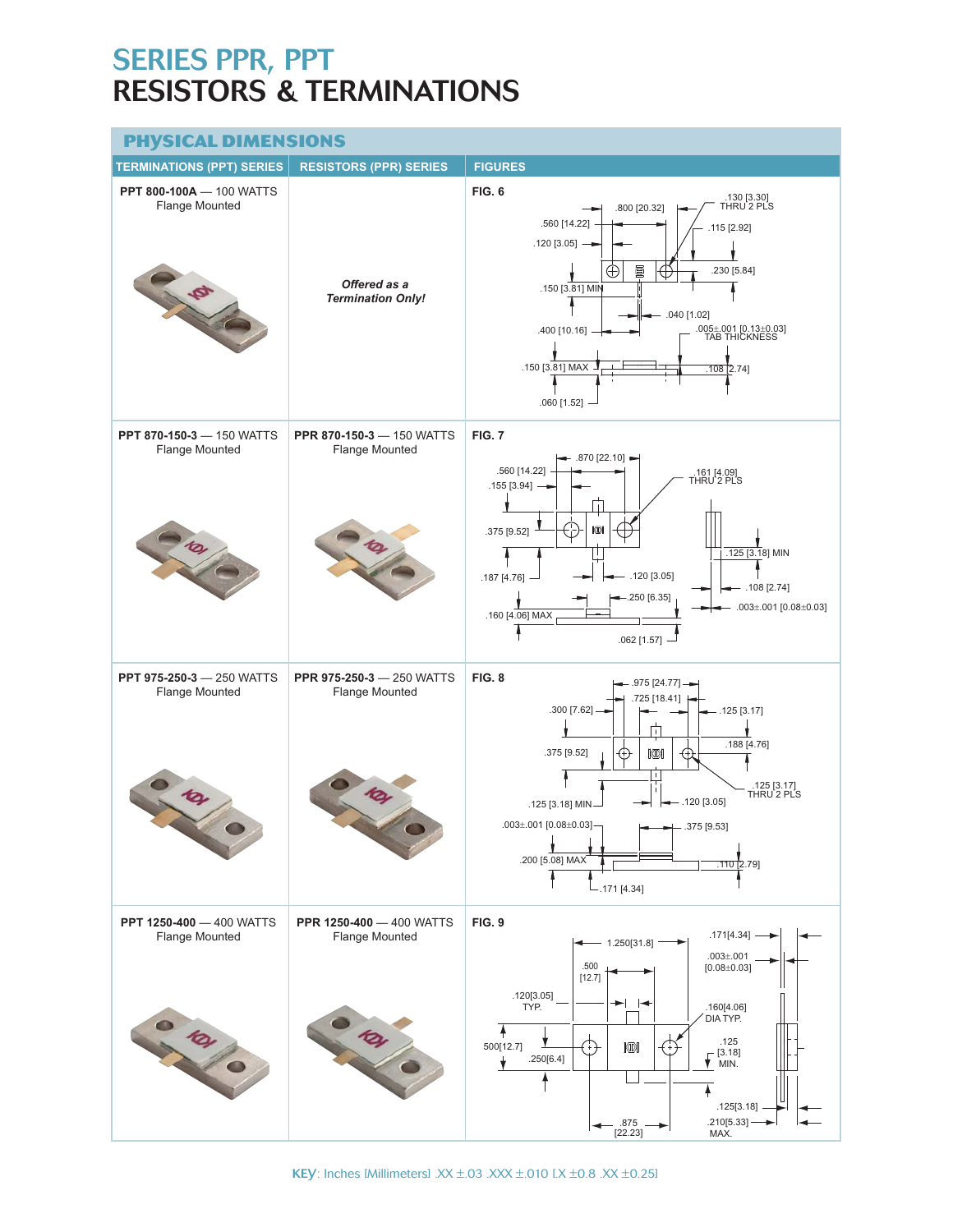## **PHYSICAL DIMENSIONS**

| <u>. , J.J.J. J</u><br><b>TERMINATIONS (PPT) SERIES</b>             | .<br><b>RESISTORS (PPR) SERIES</b>                                  | <b>FIGURES</b>                                                                                                                                                                                                                                                                                                                |
|---------------------------------------------------------------------|---------------------------------------------------------------------|-------------------------------------------------------------------------------------------------------------------------------------------------------------------------------------------------------------------------------------------------------------------------------------------------------------------------------|
| <b>PPT 800-100A - 100 WATTS</b><br>Flange Mounted                   | Offered as a<br><b>Termination Only!</b>                            | <b>FIG. 6</b><br>.130 [3.30]<br>THRU 2 PLS<br>.800 [20.32]<br>.560 [14.22]<br>$.115$ [2.92]<br>$.120$ [3.05] $-$<br>ð<br>.230 [5.84]<br>⊕<br>$\oplus$<br>.150 [3.81] MIN<br>.040 [1.02]<br>.005±.001 [0.13±0.03]<br>TAB THICKNESS<br>.400 [10.16]<br>.150 [3.81] MAX<br>$.108$ [2.74]<br>.060 [1.52]                          |
| <b>PPT 870-150-3 - 150 WATTS</b><br>Flange Mounted                  | PPR 870-150-3 - 150 WATTS<br>Flange Mounted                         | <b>FIG. 7</b><br>$-$ .870 [22.10] $\rightarrow$<br>.560 [14.22]<br>.161 [4.09]<br>THRU 2 PLS<br>$.155 [3.94]$ -<br>Ť<br>kon<br>.375 [9.52]<br>$.125$ [3.18] MIN<br>$-.120$ [3.05]<br>.187 [4.76]<br>$-.108$ [2.74]<br>$-.250 [6.35]$<br>.003±.001 [0.08±0.03]<br>.160 [4.06] MAX<br>$.062$ [1.57] -                           |
| <b>PPT 975-250-3 - 250 WATTS</b><br>Flange Mounted                  | <b>PPR 975-250-3 - 250 WATTS</b><br>Flange Mounted<br>$\mathcal{P}$ | <b>FIG. 8</b><br>- .975 [24.77] —<br>.725 [18.41]<br>.300 [7.62]<br>.125[3.17]<br>π<br>.188 [4.76]<br>.375 [9.52]<br><b>KD</b><br>⊕<br>€+<br>L<br>.125 [3.17]<br>THRU 2 PLS<br>$-.120$ [3.05]<br>.125 [3.18] MIN<br>.003±.001 [0.08±0.03]-<br>$- .375 [9.53]$<br>$\mathbf{I}$<br>.200 [5.08] MAX<br>110 2.79<br>$-.171[4.34]$ |
| <b>PPT 1250-400 - 400 WATTS</b><br><b>Flange Mounted</b><br>0 101/0 | <b>PPR 1250-400 - 400 WATTS</b><br><b>Flange Mounted</b><br>0 101 0 | <b>FIG. 9</b><br>$.171[4.34]$ -<br>1.250[31.8]<br>$.003 + .001$<br>.500<br>$[0.08 \pm 0.03]$<br>[12.7]<br>.120[3.05]<br>TYP.<br>.160[4.06]<br>DIA TYP.<br>.125<br>KIN<br>500[12.7]<br>$\sqrt{\frac{[3.18]}{MIN.}}$<br>.250[6.4]<br>.125[3.18]<br>.210[5.33]<br>.875<br>[22.23]<br>MAX.                                        |